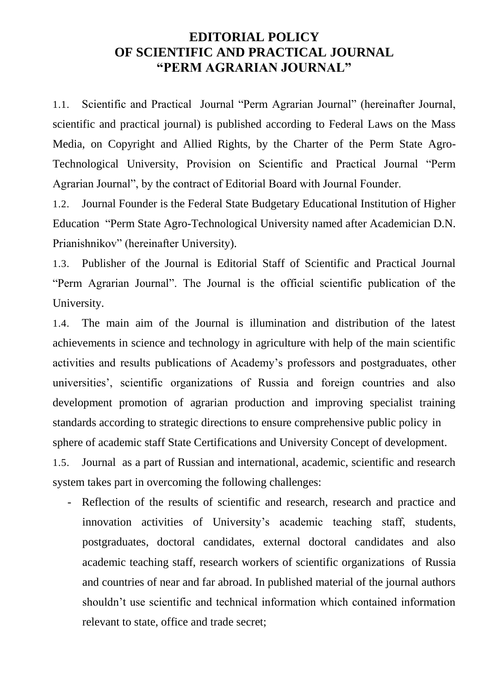## **EDITORIAL POLICY OF SCIENTIFIC AND PRACTICAL JOURNAL "PERM AGRARIAN JOURNAL"**

1.1. Scientific and Practical Journal "Perm Agrarian Journal" (hereinafter Journal, scientific and practical journal) is published according to Federal Laws on the Mass Media, on Copyright and Allied Rights, by the Charter of the Perm State Agro-Technological University, Provision on Scientific and Practical Journal "Perm Agrarian Journal", by the contract of Editorial Board with Journal Founder.

1.2. Journal Founder is the Federal State Budgetary Educational Institution of Higher Education "Perm State Agro-Technological University named after Academician D.N. Prianishnikov" (hereinafter University).

1.3. Publisher of the Journal is Editorial Staff of Scientific and Practical Journal "Perm Agrarian Journal". The Journal is the official scientific publication of the University.

1.4. The main aim of the Journal is illumination and distribution of the latest achievements in science and technology in agriculture with help of the main scientific activities and results publications of Academy's professors and postgraduates, other universities', scientific organizations of Russia and foreign countries and also development promotion of agrarian production and improving specialist training standards according to strategic directions to ensure comprehensive public policy in sphere of academic staff State Certifications and University Concept of development.

1.5. Journal as a part of Russian and international, academic, scientific and research system takes part in overcoming the following challenges:

- Reflection of the results of scientific and research, research and practice and innovation activities of University's academic teaching staff, students, postgraduates, doctoral candidates, external doctoral candidates and also academic teaching staff, research workers of scientific organizations of Russia and countries of near and far abroad. In published material of the journal authors shouldn't use scientific and technical information which contained information relevant to state, office and trade secret;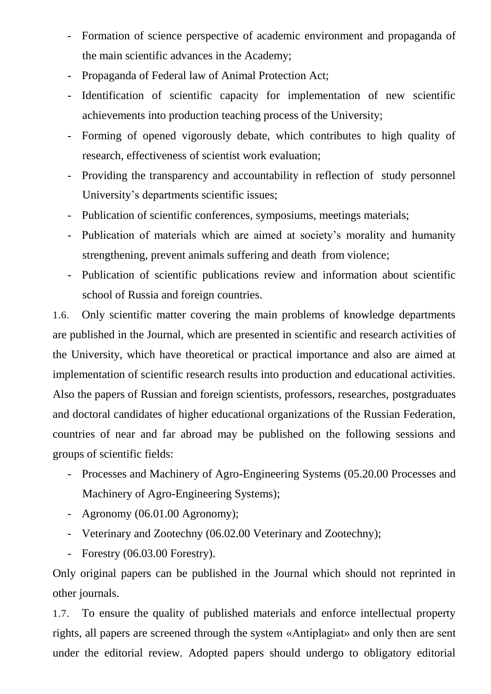- Formation of science perspective of academic environment and propaganda of the main scientific advances in the Academy;
- Propaganda of Federal law of Animal Protection Act;
- Identification of scientific capacity for implementation of new scientific achievements into production teaching process of the University;
- Forming of opened vigorously debate, which contributes to high quality of research, effectiveness of scientist work evaluation;
- Providing the transparency and accountability in reflection of study personnel University's departments scientific issues;
- Publication of scientific conferences, symposiums, meetings materials;
- Publication of materials which are aimed at society's morality and humanity strengthening, prevent animals suffering and death from violence;
- Publication of scientific publications review and information about scientific school of Russia and foreign countries.

1.6. Only scientific matter covering the main problems of knowledge departments are published in the Journal, which are presented in scientific and research activities of the University, which have theoretical or practical importance and also are aimed at implementation of scientific research results into production and educational activities. Also the papers of Russian and foreign scientists, professors, researches, postgraduates and doctoral candidates of higher educational organizations of the Russian Federation, countries of near and far abroad may be published on the following sessions and groups of scientific fields:

- Processes and Machinery of Agro-Engineering Systems (05.20.00 Processes and Machinery of Agro-Engineering Systems);
- Agronomy (06.01.00 Agronomy);
- Veterinary and Zootechny (06.02.00 Veterinary and Zootechny);
- Forestry (06.03.00 Forestry).

Only original papers can be published in the Journal which should not reprinted in other journals.

1.7. To ensure the quality of published materials and enforce intellectual property rights, all papers are screened through the system «Antiplagiat» and only then are sent under the editorial review. Adopted papers should undergo to obligatory editorial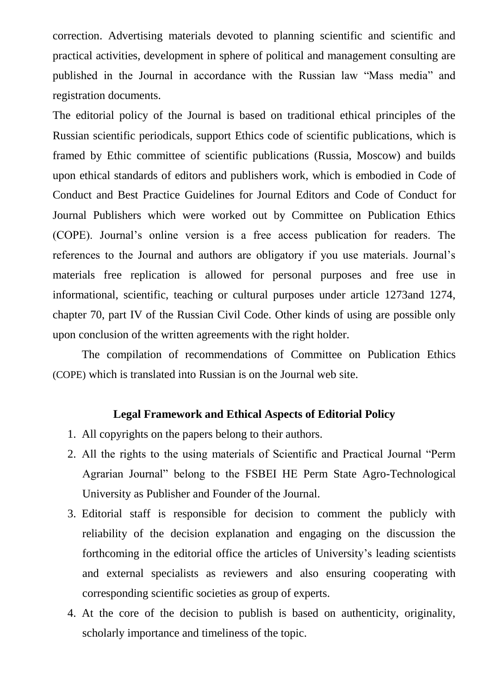correction. Advertising materials devoted to planning scientific and scientific and practical activities, development in sphere of political and management consulting are published in the Journal in accordance with the Russian law "Mass media" and registration documents.

The editorial policy of the Journal is based on traditional ethical principles of the Russian scientific periodicals, support Ethics code of scientific publications, which is framed by Ethic committee of scientific publications (Russia, Moscow) and builds upon ethical standards of editors and publishers work, which is embodied in Code of Conduct and Best Practice Guidelines for Journal Editors and Code of Conduct for Journal Publishers which were worked out by Committee on Publication Ethics (COPE). Journal's online version is a free access publication for readers. The references to the Journal and authors are obligatory if you use materials. Journal's materials free replication is allowed for personal purposes and free use in informational, scientific, teaching or cultural purposes under article 1273and 1274, chapter 70, part IV of the Russian Civil Code. Other kinds of using are possible only upon conclusion of the written agreements with the right holder.

The compilation of recommendations of Committee on Publication Ethics (COPE) which is translated into Russian is on the Journal web site.

## **Legal Framework and Ethical Aspects of Editorial Policy**

- 1. All copyrights on the papers belong to their authors.
- 2. All the rights to the using materials of Scientific and Practical Journal "Perm Agrarian Journal" belong to the FSBEI HE Perm State Agro-Technological University as Publisher and Founder of the Journal.
- 3. Editorial staff is responsible for decision to comment the publicly with reliability of the decision explanation and engaging on the discussion the forthcoming in the editorial office the articles of University's leading scientists and external specialists as reviewers and also ensuring cooperating with corresponding scientific societies as group of experts.
- 4. At the core of the decision to publish is based on authenticity, originality, scholarly importance and timeliness of the topic.